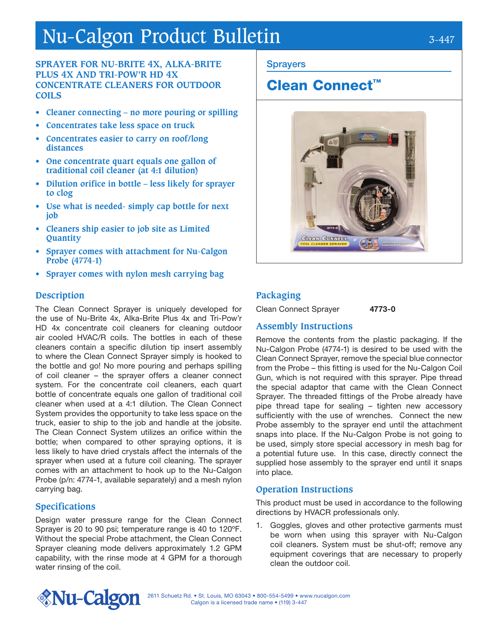# Nu-Calgon Product Bulletin 3-447

### **SPRAYER FOR NU-BRITE 4X, ALKA-BRITE PLUS 4X AND TRI-POW'R HD 4X CONCENTRATE CLEANERS FOR OUTDOOR COILS**

- **• Cleaner connecting no more pouring or spilling**
- **• Concentrates take less space on truck**
- **• Concentrates easier to carry on roof/long distances**
- **• One concentrate quart equals one gallon of traditional coil cleaner (at 4:1 dilution)**
- **• Dilution orifice in bottle less likely for sprayer to clog**
- **• Use what is needed- simply cap bottle for next job**
- **• Cleaners ship easier to job site as Limited Quantity**
- **• Sprayer comes with attachment for Nu-Calgon Probe (4774-1)**
- **• Sprayer comes with nylon mesh carrying bag**

### **Description**

The Clean Connect Sprayer is uniquely developed for the use of Nu-Brite 4x, Alka-Brite Plus 4x and Tri-Pow'r HD 4x concentrate coil cleaners for cleaning outdoor air cooled HVAC/R coils. The bottles in each of these cleaners contain a specific dilution tip insert assembly to where the Clean Connect Sprayer simply is hooked to the bottle and go! No more pouring and perhaps spilling of coil cleaner – the sprayer offers a cleaner connect system. For the concentrate coil cleaners, each quart bottle of concentrate equals one gallon of traditional coil cleaner when used at a 4:1 dilution. The Clean Connect System provides the opportunity to take less space on the truck, easier to ship to the job and handle at the jobsite. The Clean Connect System utilizes an orifice within the bottle; when compared to other spraying options, it is less likely to have dried crystals affect the internals of the sprayer when used at a future coil cleaning. The sprayer comes with an attachment to hook up to the Nu-Calgon Probe (p/n: 4774-1, available separately) and a mesh nylon carrying bag.

### **Specifications**

Design water pressure range for the Clean Connect Sprayer is 20 to 90 psi; temperature range is 40 to 120ºF. Without the special Probe attachment, the Clean Connect Sprayer cleaning mode delivers approximately 1.2 GPM capability, with the rinse mode at 4 GPM for a thorough water rinsing of the coil.

### **Sprayers**

## Clean Connect™



### **Packaging**

Clean Connect Sprayer **4773-0** 

### **Assembly Instructions**

Remove the contents from the plastic packaging. If the Nu-Calgon Probe (4774-1) is desired to be used with the Clean Connect Sprayer, remove the special blue connector from the Probe – this fitting is used for the Nu-Calgon Coil Gun, which is not required with this sprayer. Pipe thread the special adaptor that came with the Clean Connect Sprayer. The threaded fittings of the Probe already have pipe thread tape for sealing – tighten new accessory sufficiently with the use of wrenches. Connect the new Probe assembly to the sprayer end until the attachment snaps into place. If the Nu-Calgon Probe is not going to be used, simply store special accessory in mesh bag for a potential future use. In this case, directly connect the supplied hose assembly to the sprayer end until it snaps into place.

### **Operation Instructions**

This product must be used in accordance to the following directions by HVACR professionals only.

Goggles, gloves and other protective garments must be worn when using this sprayer with Nu-Calgon coil cleaners. System must be shut-off; remove any equipment coverings that are necessary to properly clean the outdoor coil.